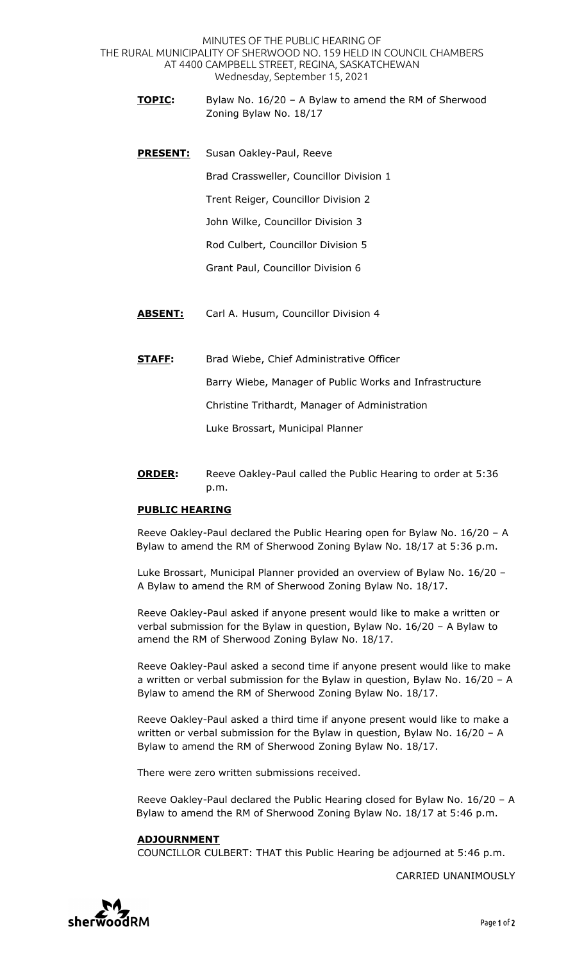MINUTES OF THE PUBLIC HEARING OF THE RURAL MUNICIPALITY OF SHERWOOD NO. 159 HELD IN COUNCIL CHAMBERS AT 4400 CAMPBELL STREET, REGINA, SASKATCHEWAN Wednesday, September 15, 2021

- **TOPIC:** Bylaw No. 16/20 A Bylaw to amend the RM of Sherwood Zoning Bylaw No. 18/17
- **PRESENT:** Susan Oakley-Paul, Reeve Brad Crassweller, Councillor Division 1 Trent Reiger, Councillor Division 2 John Wilke, Councillor Division 3 Rod Culbert, Councillor Division 5 Grant Paul, Councillor Division 6
- **ABSENT:** Carl A. Husum, Councillor Division 4

**STAFF:** Brad Wiebe, Chief Administrative Officer

Barry Wiebe, Manager of Public Works and Infrastructure

Christine Trithardt, Manager of Administration

Luke Brossart, Municipal Planner

**ORDER:** Reeve Oakley-Paul called the Public Hearing to order at 5:36 p.m.

## **PUBLIC HEARING**

Reeve Oakley-Paul declared the Public Hearing open for Bylaw No. 16/20 – A Bylaw to amend the RM of Sherwood Zoning Bylaw No. 18/17 at 5:36 p.m.

Luke Brossart, Municipal Planner provided an overview of Bylaw No. 16/20 – A Bylaw to amend the RM of Sherwood Zoning Bylaw No. 18/17.

Reeve Oakley-Paul asked if anyone present would like to make a written or verbal submission for the Bylaw in question, Bylaw No. 16/20 – A Bylaw to amend the RM of Sherwood Zoning Bylaw No. 18/17.

Reeve Oakley-Paul asked a second time if anyone present would like to make a written or verbal submission for the Bylaw in question, Bylaw No. 16/20 – A Bylaw to amend the RM of Sherwood Zoning Bylaw No. 18/17.

Reeve Oakley-Paul asked a third time if anyone present would like to make a written or verbal submission for the Bylaw in question, Bylaw No. 16/20 – A Bylaw to amend the RM of Sherwood Zoning Bylaw No. 18/17.

There were zero written submissions received.

Reeve Oakley-Paul declared the Public Hearing closed for Bylaw No. 16/20 – A Bylaw to amend the RM of Sherwood Zoning Bylaw No. 18/17 at 5:46 p.m.

## **ADJOURNMENT**

COUNCILLOR CULBERT: THAT this Public Hearing be adjourned at 5:46 p.m.

CARRIED UNANIMOUSLY